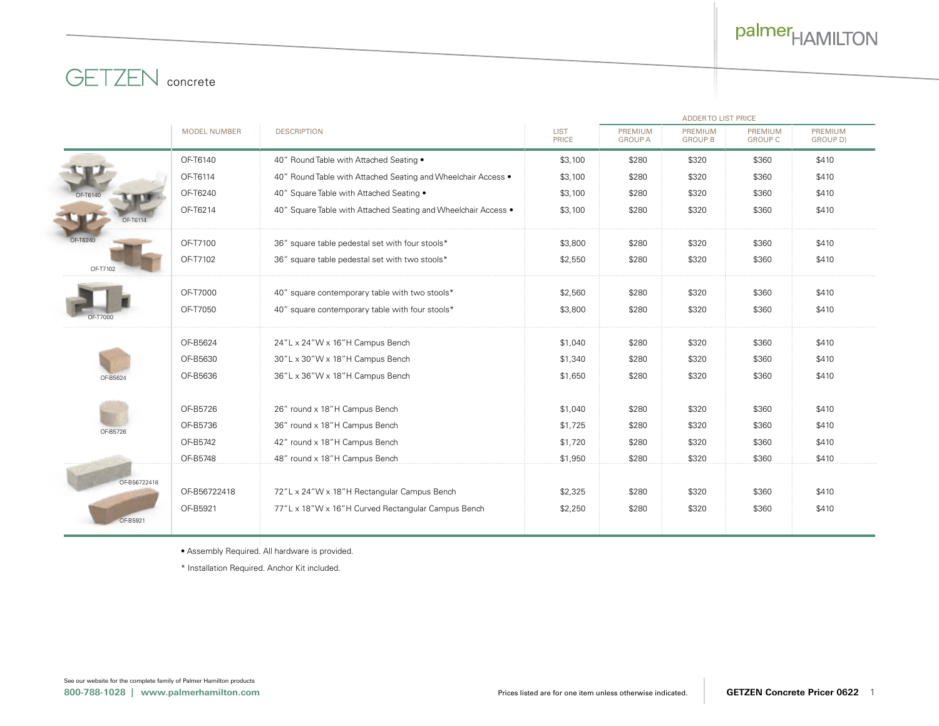

# **GETZEN** concrete

|                 |                     |                                                                | <b>ADDERTO LIST PRICE</b> |                           |                           |                                  |                            |  |
|-----------------|---------------------|----------------------------------------------------------------|---------------------------|---------------------------|---------------------------|----------------------------------|----------------------------|--|
|                 | <b>MODEL NUMBER</b> | <b>DESCRIPTION</b>                                             | <b>LIST</b><br>PRICE      | PREMIUM<br><b>GROUP A</b> | PREMIUM<br><b>GROUP B</b> | <b>PREMIUM</b><br><b>GROUP C</b> | PREMIUM<br><b>GROUP DI</b> |  |
|                 | OF-T6140            | 40" Round Table with Attached Seating .                        | \$3,100                   | \$280                     | \$320                     | \$360                            | \$410                      |  |
|                 | OF-T6114            | 40" Round Table with Attached Seating and Wheelchair Access .  | \$3,100                   | \$280                     | \$320                     | \$360                            | \$410                      |  |
|                 | OF-T6240            | 40" Square Table with Attached Seating .                       | \$3,100                   | \$280                     | \$320                     | \$360                            | \$410                      |  |
| <b>OF-T6114</b> | OF-T6214            | 40" Square Table with Attached Seating and Wheelchair Access • | \$3,100                   | \$280                     | \$320                     | \$360                            | \$410                      |  |
| OF-T6240        | OF-T7100            | 36" square table pedestal set with four stools*                | \$3,800                   | \$280                     | \$320                     | \$360                            | \$410                      |  |
| OF-T710         | OF-T7102            | 36" square table pedestal set with two stools*                 | \$2,550                   | \$280                     | \$320                     | \$360                            | \$410                      |  |
|                 | OF-T7000            | 40" square contemporary table with two stools*                 | \$2,560                   | \$280                     | \$320                     | \$360                            | \$410                      |  |
|                 | OF-T7050            | 40" square contemporary table with four stools*                | \$3,800                   | \$280                     | \$320                     | \$360                            | \$410                      |  |
|                 | OF-B5624            | 24"L x 24"W x 16"H Campus Bench                                | \$1,040                   | \$280                     | \$320                     | \$360                            | \$410                      |  |
|                 | OF-B5630            | 30"L x 30"W x 18"H Campus Bench                                | \$1,340                   | \$280                     | \$320                     | \$360                            | \$410                      |  |
| OF-B5624        | OF-B5636            | 36"L x 36"W x 18"H Campus Bench                                | \$1,650                   | \$280                     | \$320                     | \$360                            | \$410                      |  |
|                 | OF-B5726            | 26" round x 18"H Campus Bench                                  | \$1,040                   | \$280                     | \$320                     | \$360                            | \$410                      |  |
| OF-B5726        | OF-B5736            | 36" round x 18"H Campus Bench                                  | \$1,725                   | \$280                     | \$320                     | \$360                            | \$410                      |  |
|                 | OF-B5742            | 42" round x 18"H Campus Bench                                  | \$1,720                   | \$280                     | \$320                     | \$360                            | \$410                      |  |
|                 | OF-B5748            | 48" round x 18"H Campus Bench                                  | \$1,950                   | \$280                     | \$320                     | \$360                            | \$410                      |  |
| OF-B56722418    |                     |                                                                |                           |                           |                           |                                  |                            |  |
|                 | OF-B56722418        | 72"L x 24"W x 18"H Rectangular Campus Bench                    | \$2,325                   | \$280                     | \$320                     | \$360                            | \$410                      |  |
|                 | OF-B5921            | 77"L x 18"W x 16"H Curved Rectangular Campus Bench             | \$2,250                   | \$280                     | \$320                     | \$360                            | \$410                      |  |
| OF-B5921        |                     |                                                                |                           |                           |                           |                                  |                            |  |

• Assembly Required. All hardware is provided.

\* Installation Required. Anchor Kit included.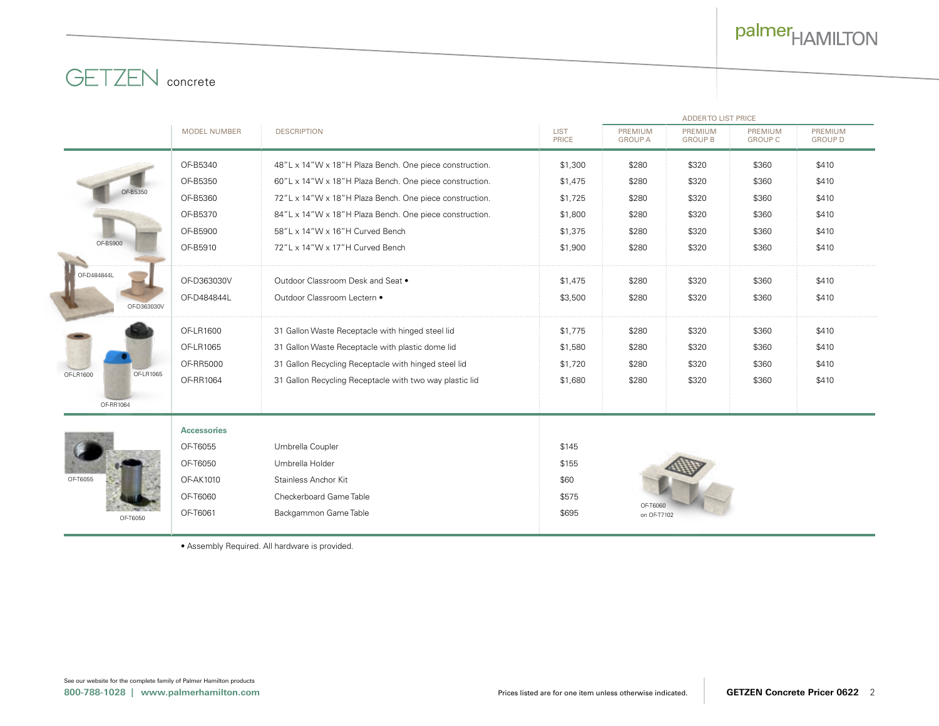# palmer<sub>HAMILTON</sub>



|                        | <b>ADDERTO LIST PRICE</b> |                                                         |                      |                           |                           |                           |                                  |  |
|------------------------|---------------------------|---------------------------------------------------------|----------------------|---------------------------|---------------------------|---------------------------|----------------------------------|--|
|                        | <b>MODEL NUMBER</b>       | <b>DESCRIPTION</b>                                      | <b>LIST</b><br>PRICE | PREMIUM<br><b>GROUP A</b> | PREMIUM<br><b>GROUP B</b> | PREMIUM<br><b>GROUP C</b> | <b>PREMIUM</b><br><b>GROUP D</b> |  |
|                        | OF-B5340                  | 48"L x 14"W x 18"H Plaza Bench. One piece construction. | \$1,300              | \$280                     | \$320                     | \$360                     | \$410                            |  |
|                        | OF-B5350                  | 60"L x 14"W x 18"H Plaza Bench. One piece construction. | \$1,475              | \$280                     | \$320                     | \$360                     | \$410                            |  |
| OF-B535                | OF-B5360                  | 72"L x 14"W x 18"H Plaza Bench. One piece construction. | \$1,725              | \$280                     | \$320                     | \$360                     | \$410                            |  |
|                        | OF-B5370                  | 84"L x 14"W x 18"H Plaza Bench. One piece construction. | \$1,800              | \$280                     | \$320                     | \$360                     | \$410                            |  |
|                        | OF-B5900                  | 58"L x 14"W x 16"H Curved Bench                         | \$1,375              | \$280                     | \$320                     | \$360                     | \$410                            |  |
| OF-B5900               | OF-B5910                  | 72"L x 14"W x 17"H Curved Bench                         | \$1,900              | \$280                     | \$320                     | \$360                     | \$410                            |  |
| OF-D484844L            | OF-D363030V               | Outdoor Classroom Desk and Seat .                       | \$1,475              | \$280                     | \$320                     | \$360                     | \$410                            |  |
| OF-D363030V            | OF-D484844L               | Outdoor Classroom Lectern .                             | \$3,500              | \$280                     | \$320                     | \$360                     | \$410                            |  |
|                        | OF-LR1600                 | 31 Gallon Waste Receptacle with hinged steel lid        | \$1,775              | \$280                     | \$320                     | \$360                     | \$410                            |  |
|                        | OF-LR1065                 | 31 Gallon Waste Receptacle with plastic dome lid        | \$1,580              | \$280                     | \$320                     | \$360                     | \$410                            |  |
|                        | OF-RR5000                 | 31 Gallon Recycling Receptacle with hinged steel lid    | \$1,720              | \$280                     | \$320                     | \$360                     | \$410                            |  |
| OF-LR1600<br>OF-LR1065 | OF-RR1064                 | 31 Gallon Recycling Receptacle with two way plastic lid | \$1,680              | \$280                     | \$320                     | \$360                     | \$410                            |  |
| OF-RR1064              |                           |                                                         |                      |                           |                           |                           |                                  |  |
| OF-T6055               | <b>Accessories</b>        |                                                         |                      |                           |                           |                           |                                  |  |
|                        | OF-T6055                  | Umbrella Coupler                                        | \$145                |                           |                           |                           |                                  |  |
|                        | OF-T6050                  | Umbrella Holder                                         | \$155                |                           |                           |                           |                                  |  |
|                        | OF-AK1010                 | Stainless Anchor Kit                                    | \$60                 |                           |                           |                           |                                  |  |
|                        | OF-T6060                  | Checkerboard Game Table                                 | \$575                |                           |                           |                           |                                  |  |
| OF-T6050               | OF-T6061                  | Backgammon Game Table                                   | \$695                | OF-T6060<br>on OF-T7102   |                           |                           |                                  |  |
|                        |                           |                                                         |                      |                           |                           |                           |                                  |  |

• Assembly Required. All hardware is provided.